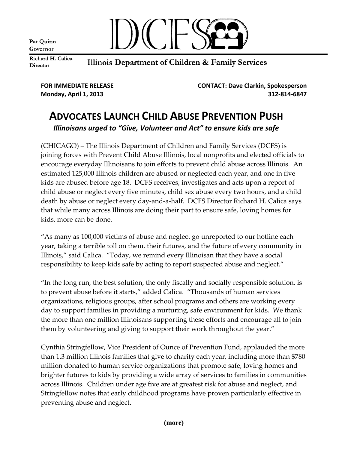Pat Quinn Governor



Richard H. Calica Director

## Illinois Department of Children & Family Services

**FOR IMMEDIATE RELEASE CONTACT: Dave Clarkin, Spokesperson Monday, April 1, 2013 312‐814‐6847**

## **ADVOCATES LAUNCH CHILD ABUSE PREVENTION PUSH** *Illinoisans urged to "Give, Volunteer and Act" to ensure kids are safe*

(CHICAGO) – The Illinois Department of Children and Family Services (DCFS) is joining forces with Prevent Child Abuse Illinois, local nonprofits and elected officials to encourage everyday Illinoisans to join efforts to prevent child abuse across Illinois. An estimated 125,000 Illinois children are abused or neglected each year, and one in five kids are abused before age 18. DCFS receives, investigates and acts upon a report of child abuse or neglect every five minutes, child sex abuse every two hours, and a child death by abuse or neglect every day‐and‐a‐half. DCFS Director Richard H. Calica says that while many across Illinois are doing their part to ensure safe, loving homes for kids, more can be done.

"As many as 100,000 victims of abuse and neglect go unreported to our hotline each year, taking a terrible toll on them, their futures, and the future of every community in Illinois," said Calica. "Today, we remind every Illinoisan that they have a social responsibility to keep kids safe by acting to report suspected abuse and neglect."

"In the long run, the best solution, the only fiscally and socially responsible solution, is to prevent abuse before it starts," added Calica. "Thousands of human services organizations, religious groups, after school programs and others are working every day to support families in providing a nurturing, safe environment for kids. We thank the more than one million Illinoisans supporting these efforts and encourage all to join them by volunteering and giving to support their work throughout the year."

Cynthia Stringfellow, Vice President of Ounce of Prevention Fund, applauded the more than 1.3 million Illinois families that give to charity each year, including more than \$780 million donated to human service organizations that promote safe, loving homes and brighter futures to kids by providing a wide array of services to families in communities across Illinois. Children under age five are at greatest risk for abuse and neglect, and Stringfellow notes that early childhood programs have proven particularly effective in preventing abuse and neglect.